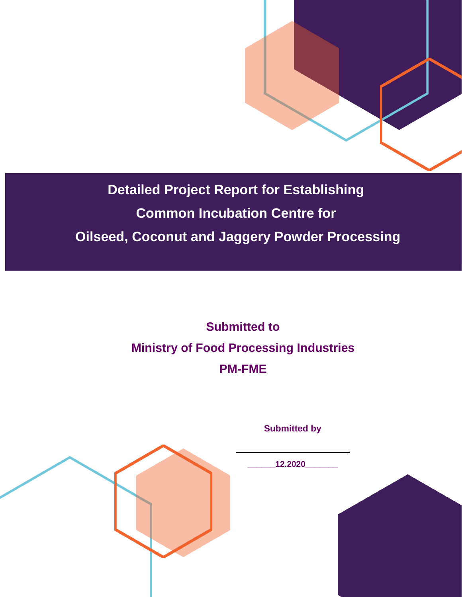

**Detailed Project Report for Establishing Common Incubation Centre for Oilseed, Coconut and Jaggery Powder Processing**

> **Submitted to Ministry of Food Processing Industries PM-FME**

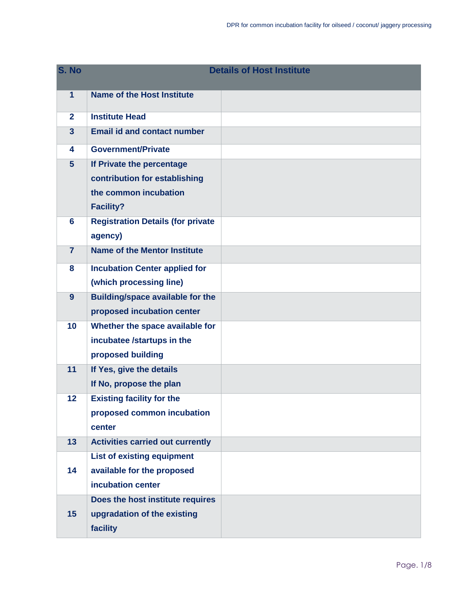| S. No          |                                          | <b>Details of Host Institute</b> |
|----------------|------------------------------------------|----------------------------------|
| $\overline{1}$ | Name of the Host Institute               |                                  |
| $\mathbf{2}$   | <b>Institute Head</b>                    |                                  |
| $\overline{3}$ | <b>Email id and contact number</b>       |                                  |
| 4              | <b>Government/Private</b>                |                                  |
| $5\phantom{1}$ | If Private the percentage                |                                  |
|                | contribution for establishing            |                                  |
|                | the common incubation                    |                                  |
|                | <b>Facility?</b>                         |                                  |
| 6              | <b>Registration Details (for private</b> |                                  |
|                | agency)                                  |                                  |
| $\overline{7}$ | <b>Name of the Mentor Institute</b>      |                                  |
| 8              | <b>Incubation Center applied for</b>     |                                  |
|                | (which processing line)                  |                                  |
| 9              | <b>Building/space available for the</b>  |                                  |
|                | proposed incubation center               |                                  |
| 10             | Whether the space available for          |                                  |
|                | incubatee /startups in the               |                                  |
|                | proposed building                        |                                  |
| 11             | If Yes, give the details                 |                                  |
|                | If No, propose the plan                  |                                  |
| 12             | <b>Existing facility for the</b>         |                                  |
|                | proposed common incubation               |                                  |
|                | center                                   |                                  |
| 13             | <b>Activities carried out currently</b>  |                                  |
|                | <b>List of existing equipment</b>        |                                  |
| 14             | available for the proposed               |                                  |
|                | incubation center                        |                                  |
|                | Does the host institute requires         |                                  |
| 15             | upgradation of the existing              |                                  |
|                | facility                                 |                                  |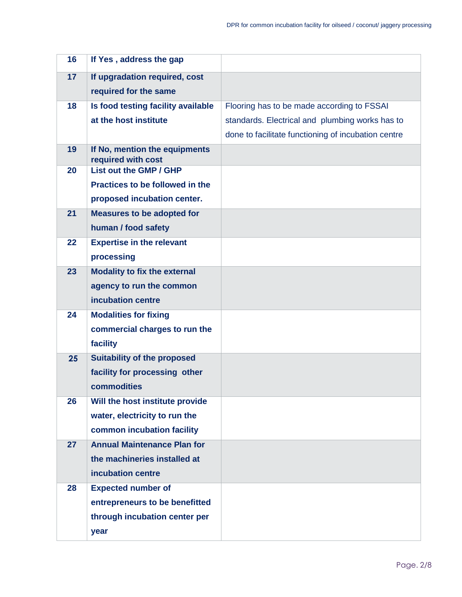| 16 | If Yes, address the gap                             |                                                     |
|----|-----------------------------------------------------|-----------------------------------------------------|
| 17 | If upgradation required, cost                       |                                                     |
|    | required for the same                               |                                                     |
| 18 | Is food testing facility available                  | Flooring has to be made according to FSSAI          |
|    | at the host institute                               | standards. Electrical and plumbing works has to     |
|    |                                                     | done to facilitate functioning of incubation centre |
| 19 | If No, mention the equipments<br>required with cost |                                                     |
| 20 | List out the GMP / GHP                              |                                                     |
|    | Practices to be followed in the                     |                                                     |
|    | proposed incubation center.                         |                                                     |
| 21 | <b>Measures to be adopted for</b>                   |                                                     |
|    | human / food safety                                 |                                                     |
| 22 | <b>Expertise in the relevant</b>                    |                                                     |
|    | processing                                          |                                                     |
| 23 | <b>Modality to fix the external</b>                 |                                                     |
|    | agency to run the common                            |                                                     |
|    | incubation centre                                   |                                                     |
| 24 | <b>Modalities for fixing</b>                        |                                                     |
|    | commercial charges to run the                       |                                                     |
|    | facility                                            |                                                     |
| 25 | <b>Suitability of the proposed</b>                  |                                                     |
|    | facility for processing other                       |                                                     |
|    | commodities                                         |                                                     |
| 26 | Will the host institute provide                     |                                                     |
|    | water, electricity to run the                       |                                                     |
|    | common incubation facility                          |                                                     |
| 27 | <b>Annual Maintenance Plan for</b>                  |                                                     |
|    | the machineries installed at                        |                                                     |
|    | incubation centre                                   |                                                     |
| 28 | <b>Expected number of</b>                           |                                                     |
|    | entrepreneurs to be benefitted                      |                                                     |
|    | through incubation center per                       |                                                     |
|    | year                                                |                                                     |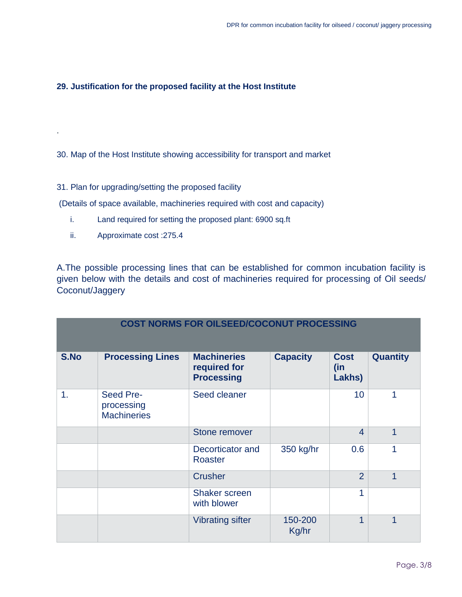## **29. Justification for the proposed facility at the Host Institute**

30. Map of the Host Institute showing accessibility for transport and market

31. Plan for upgrading/setting the proposed facility

(Details of space available, machineries required with cost and capacity)

- i. Land required for setting the proposed plant: 6900 sq.ft
- ii. Approximate cost :275.4

.

A.The possible processing lines that can be established for common incubation facility is given below with the details and cost of machineries required for processing of Oil seeds/ Coconut/Jaggery

| <b>COST NORMS FOR OILSEED/COCONUT PROCESSING</b> |                                               |                                                         |                  |                              |                 |
|--------------------------------------------------|-----------------------------------------------|---------------------------------------------------------|------------------|------------------------------|-----------------|
| S.No                                             | <b>Processing Lines</b>                       | <b>Machineries</b><br>required for<br><b>Processing</b> | <b>Capacity</b>  | <b>Cost</b><br>(in<br>Lakhs) | <b>Quantity</b> |
| 1.                                               | Seed Pre-<br>processing<br><b>Machineries</b> | Seed cleaner                                            |                  | 10                           | 1               |
|                                                  |                                               | Stone remover                                           |                  | $\overline{4}$               | $\overline{1}$  |
|                                                  |                                               | Decorticator and<br><b>Roaster</b>                      | 350 kg/hr        | 0.6                          | 1               |
|                                                  |                                               | <b>Crusher</b>                                          |                  | $\overline{2}$               | 1               |
|                                                  |                                               | <b>Shaker screen</b><br>with blower                     |                  | 1                            |                 |
|                                                  |                                               | <b>Vibrating sifter</b>                                 | 150-200<br>Kg/hr | 1                            | $\overline{1}$  |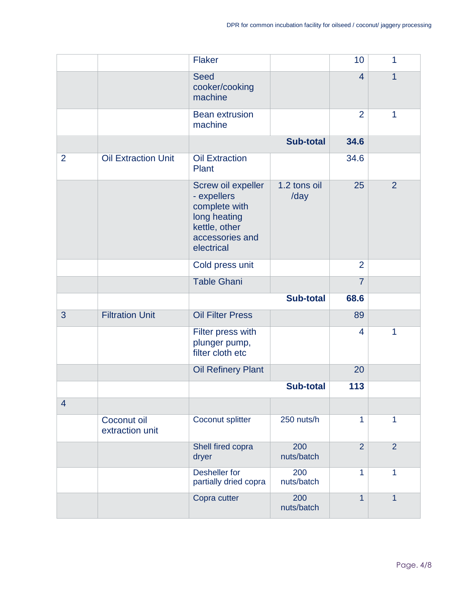|                |                                | <b>Flaker</b>                                                                                                        |                      | 10             | $\mathbf{1}$   |
|----------------|--------------------------------|----------------------------------------------------------------------------------------------------------------------|----------------------|----------------|----------------|
|                |                                | <b>Seed</b><br>cooker/cooking<br>machine                                                                             |                      | $\overline{4}$ | $\overline{1}$ |
|                |                                | <b>Bean extrusion</b><br>machine                                                                                     |                      | 2              | $\mathbf{1}$   |
|                |                                |                                                                                                                      | <b>Sub-total</b>     | 34.6           |                |
| $\overline{2}$ | <b>Oil Extraction Unit</b>     | <b>Oil Extraction</b><br>Plant                                                                                       |                      | 34.6           |                |
|                |                                | Screw oil expeller<br>- expellers<br>complete with<br>long heating<br>kettle, other<br>accessories and<br>electrical | 1.2 tons oil<br>/day | 25             | 2              |
|                |                                | Cold press unit                                                                                                      |                      | $\overline{2}$ |                |
|                |                                | <b>Table Ghani</b>                                                                                                   |                      | $\overline{7}$ |                |
|                |                                |                                                                                                                      | <b>Sub-total</b>     | 68.6           |                |
| 3              | <b>Filtration Unit</b>         | <b>Oil Filter Press</b>                                                                                              |                      | 89             |                |
|                |                                | Filter press with<br>plunger pump,<br>filter cloth etc                                                               |                      | $\overline{4}$ | 1              |
|                |                                | <b>Oil Refinery Plant</b>                                                                                            |                      | 20             |                |
|                |                                |                                                                                                                      | <b>Sub-total</b>     | 113            |                |
| $\overline{4}$ |                                |                                                                                                                      |                      |                |                |
|                | Coconut oil<br>extraction unit | Coconut splitter                                                                                                     | 250 nuts/h           | 1              | 1              |
|                |                                | Shell fired copra<br>dryer                                                                                           | 200<br>nuts/batch    | $\overline{2}$ | $\overline{2}$ |
|                |                                | Desheller for<br>partially dried copra                                                                               | 200<br>nuts/batch    | $\mathbf{1}$   | $\mathbf{1}$   |
|                |                                | Copra cutter                                                                                                         | 200<br>nuts/batch    | $\mathbf{1}$   | $\overline{1}$ |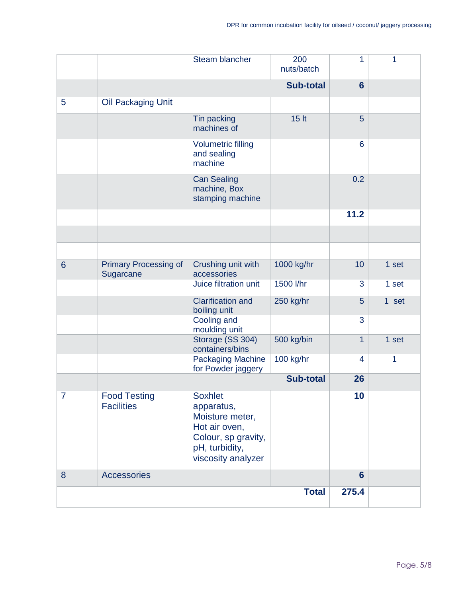|                 |                                           | Steam blancher                                                                                                                  | 200<br>nuts/batch | 1              | 1     |
|-----------------|-------------------------------------------|---------------------------------------------------------------------------------------------------------------------------------|-------------------|----------------|-------|
|                 |                                           | <b>Sub-total</b>                                                                                                                |                   | $6\phantom{1}$ |       |
| 5               | Oil Packaging Unit                        |                                                                                                                                 |                   |                |       |
|                 |                                           | Tin packing<br>machines of                                                                                                      | 15 lt             | 5              |       |
|                 |                                           | <b>Volumetric filling</b><br>and sealing<br>machine                                                                             |                   | 6              |       |
|                 |                                           | <b>Can Sealing</b><br>machine, Box<br>stamping machine                                                                          |                   | 0.2            |       |
|                 |                                           |                                                                                                                                 |                   | 11.2           |       |
|                 |                                           |                                                                                                                                 |                   |                |       |
|                 |                                           |                                                                                                                                 |                   |                |       |
| $6\phantom{1}6$ | <b>Primary Processing of</b><br>Sugarcane | Crushing unit with<br>accessories                                                                                               | 1000 kg/hr        | 10             | 1 set |
|                 |                                           | Juice filtration unit                                                                                                           | 1500 l/hr         | 3              | 1 set |
|                 |                                           | <b>Clarification and</b><br>boiling unit                                                                                        | 250 kg/hr         | 5              | 1 set |
|                 |                                           | Cooling and<br>moulding unit                                                                                                    |                   | 3              |       |
|                 |                                           | Storage (SS 304)<br>containers/bins                                                                                             | 500 kg/bin        | 1              | 1 set |
|                 |                                           | <b>Packaging Machine</b><br>for Powder jaggery                                                                                  | 100 kg/hr         | $\overline{4}$ | 1     |
|                 |                                           |                                                                                                                                 | <b>Sub-total</b>  | 26             |       |
| $\overline{7}$  | <b>Food Testing</b><br><b>Facilities</b>  | <b>Soxhlet</b><br>apparatus,<br>Moisture meter,<br>Hot air oven,<br>Colour, sp gravity,<br>pH, turbidity,<br>viscosity analyzer |                   | 10             |       |
| 8               | <b>Accessories</b>                        |                                                                                                                                 |                   | $6\phantom{1}$ |       |
|                 |                                           |                                                                                                                                 | <b>Total</b>      | 275.4          |       |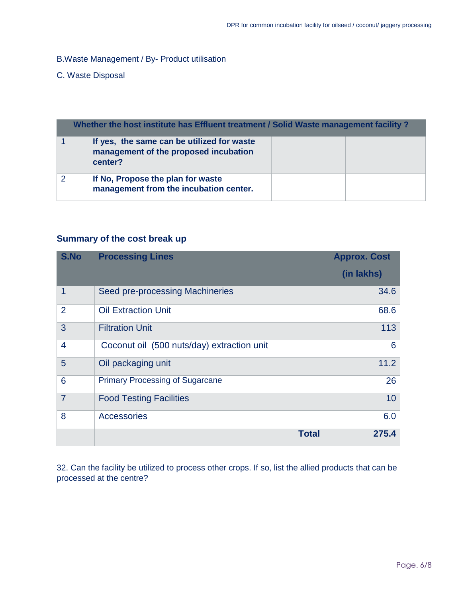B.Waste Management / By- Product utilisation

## C. Waste Disposal

| Whether the host institute has Effluent treatment / Solid Waste management facility? |                                                                                                |  |  |  |
|--------------------------------------------------------------------------------------|------------------------------------------------------------------------------------------------|--|--|--|
|                                                                                      | If yes, the same can be utilized for waste<br>management of the proposed incubation<br>center? |  |  |  |
| 2                                                                                    | If No, Propose the plan for waste<br>management from the incubation center.                    |  |  |  |

## **Summary of the cost break up**

| S.No           | <b>Processing Lines</b>                    | <b>Approx. Cost</b> |
|----------------|--------------------------------------------|---------------------|
|                |                                            | (in lakhs)          |
| 1              | Seed pre-processing Machineries            | 34.6                |
| $\overline{2}$ | <b>Oil Extraction Unit</b>                 | 68.6                |
| 3              | <b>Filtration Unit</b>                     | 113                 |
| 4              | Coconut oil (500 nuts/day) extraction unit | 6                   |
| 5              | Oil packaging unit                         | 11.2                |
| 6              | <b>Primary Processing of Sugarcane</b>     | 26                  |
| $\overline{7}$ | <b>Food Testing Facilities</b>             | 10                  |
| 8              | <b>Accessories</b>                         | 6.0                 |
|                | <b>Total</b>                               | 275.4               |

32. Can the facility be utilized to process other crops. If so, list the allied products that can be processed at the centre?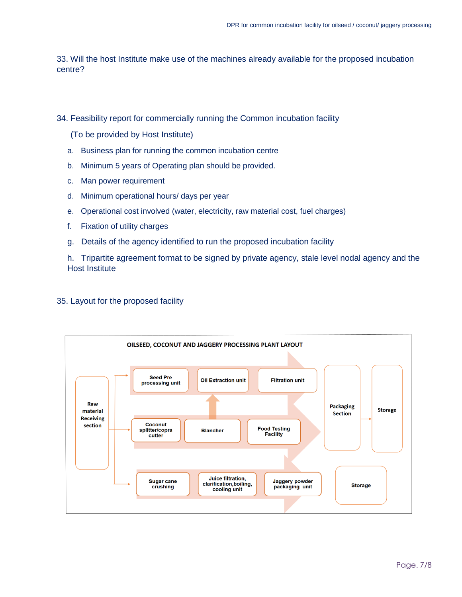33. Will the host Institute make use of the machines already available for the proposed incubation centre?

34. Feasibility report for commercially running the Common incubation facility

(To be provided by Host Institute)

- a. Business plan for running the common incubation centre
- b. Minimum 5 years of Operating plan should be provided.
- c. Man power requirement
- d. Minimum operational hours/ days per year
- e. Operational cost involved (water, electricity, raw material cost, fuel charges)
- f. Fixation of utility charges
- g. Details of the agency identified to run the proposed incubation facility

h. Tripartite agreement format to be signed by private agency, stale level nodal agency and the Host Institute

## 35. Layout for the proposed facility